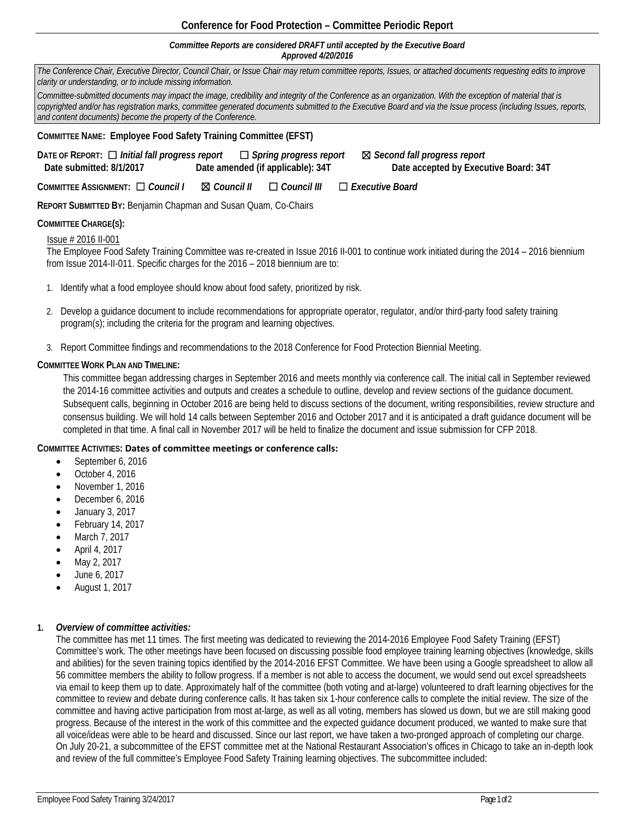# **Conference for Food Protection – Committee Periodic Report**

#### *Committee Reports are considered DRAFT until accepted by the Executive Board Approved 4/20/2016*

*The Conference Chair, Executive Director, Council Chair, or Issue Chair may return committee reports, Issues, or attached documents requesting edits to improve clarity or understanding, or to include missing information.* 

*Committee-submitted documents may impact the image, credibility and integrity of the Conference as an organization. With the exception of material that is copyrighted and/or has registration marks, committee generated documents submitted to the Executive Board and via the Issue process (including Issues, reports, and content documents) become the property of the Conference.*

### **COMMITTEE NAME: Employee Food Safety Training Committee (EFST)**

**DATE OF REPORT:** ☐ *Initial fall progress report* ☐ *Spring progress report* ☒ *Second fall progress report*   **Date submitted: 8/1/2017 Date amended (if applicable): 34T Date accepted by Executive Board: 34T**

**COMMITTEE ASSIGNMENT:** ☐ *Council I* ☒ *Council II* ☐ *Council III* ☐ *Executive Board* 

**REPORT SUBMITTED BY:** Benjamin Chapman and Susan Quam, Co-Chairs

## **COMMITTEE CHARGE(S):**

## Issue # 2016 II-001

The Employee Food Safety Training Committee was re-created in Issue 2016 II-001 to continue work initiated during the 2014 – 2016 biennium from Issue 2014-II-011. Specific charges for the 2016 – 2018 biennium are to:

- 1. Identify what a food employee should know about food safety, prioritized by risk.
- 2. Develop a guidance document to include recommendations for appropriate operator, regulator, and/or third-party food safety training program(s); including the criteria for the program and learning objectives.
- 3. Report Committee findings and recommendations to the 2018 Conference for Food Protection Biennial Meeting.

## **COMMITTEE WORK PLAN AND TIMELINE:**

This committee began addressing charges in September 2016 and meets monthly via conference call. The initial call in September reviewed the 2014-16 committee activities and outputs and creates a schedule to outline, develop and review sections of the guidance document. Subsequent calls, beginning in October 2016 are being held to discuss sections of the document, writing responsibilities, review structure and consensus building. We will hold 14 calls between September 2016 and October 2017 and it is anticipated a draft guidance document will be completed in that time. A final call in November 2017 will be held to finalize the document and issue submission for CFP 2018.

#### **COMMITTEE ACTIVITIES: Dates of committee meetings or conference calls:**

- September 6, 2016
- October 4, 2016
- November 1, 2016
- December 6, 2016
- January 3, 2017
- February 14, 2017
- March 7, 2017
- April 4, 2017
- May 2, 2017
- June 6, 2017
- August 1, 2017

## **1.** *Overview of committee activities:*

The committee has met 11 times. The first meeting was dedicated to reviewing the 2014-2016 Employee Food Safety Training (EFST) Committee's work. The other meetings have been focused on discussing possible food employee training learning objectives (knowledge, skills and abilities) for the seven training topics identified by the 2014-2016 EFST Committee. We have been using a Google spreadsheet to allow all 56 committee members the ability to follow progress. If a member is not able to access the document, we would send out excel spreadsheets via email to keep them up to date. Approximately half of the committee (both voting and at-large) volunteered to draft learning objectives for the committee to review and debate during conference calls. It has taken six 1-hour conference calls to complete the initial review. The size of the committee and having active participation from most at-large, as well as all voting, members has slowed us down, but we are still making good progress. Because of the interest in the work of this committee and the expected guidance document produced, we wanted to make sure that all voice/ideas were able to be heard and discussed. Since our last report, we have taken a two-pronged approach of completing our charge. On July 20-21, a subcommittee of the EFST committee met at the National Restaurant Association's offices in Chicago to take an in-depth look and review of the full committee's Employee Food Safety Training learning objectives. The subcommittee included: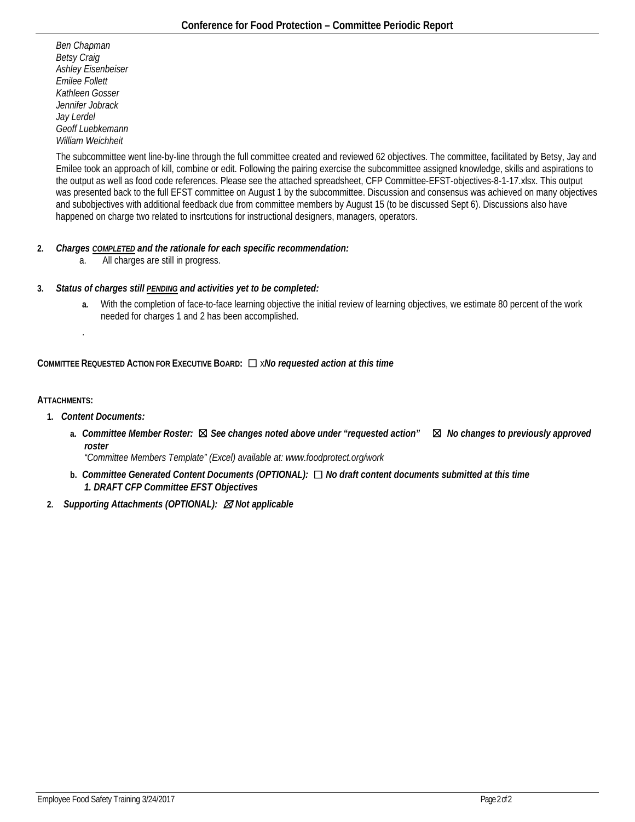*Ben Chapman Betsy Craig Ashley Eisenbeiser Emilee Follett Kathleen Gosser Jennifer Jobrack Jay Lerdel Geoff Luebkemann William Weichheit*

The subcommittee went line-by-line through the full committee created and reviewed 62 objectives. The committee, facilitated by Betsy, Jay and Emilee took an approach of kill, combine or edit. Following the pairing exercise the subcommittee assigned knowledge, skills and aspirations to the output as well as food code references. Please see the attached spreadsheet, CFP Committee-EFST-objectives-8-1-17.xlsx. This output was presented back to the full EFST committee on August 1 by the subcommittee. Discussion and consensus was achieved on many objectives and subobjectives with additional feedback due from committee members by August 15 (to be discussed Sept 6). Discussions also have happened on charge two related to insrtcutions for instructional designers, managers, operators.

# **2.** *Charges COMPLETED and the rationale for each specific recommendation:*

a. All charges are still in progress.

# **3.** *Status of charges still PENDING and activities yet to be completed:*

**a.** With the completion of face-to-face learning objective the initial review of learning objectives, we estimate 80 percent of the work needed for charges 1 and 2 has been accomplished.

# **COMMITTEE REQUESTED ACTION FOR EXECUTIVE BOARD:** ☐ x*No requested action at this time*

## **ATTACHMENTS:**

**1.** *Content Documents:*

.

**a.** *Committee Member Roster:* ☒ *See changes noted above under "requested action"* ☒ *No changes to previously approved roster*

*"Committee Members Template" (Excel) available at: www.foodprotect.org/work* 

- **b.** *Committee Generated Content Documents (OPTIONAL):* ☐ *No draft content documents submitted at this time 1. DRAFT CFP Committee EFST Objectives*
- **2.** *Supporting Attachments (OPTIONAL):* ☒ *Not applicable*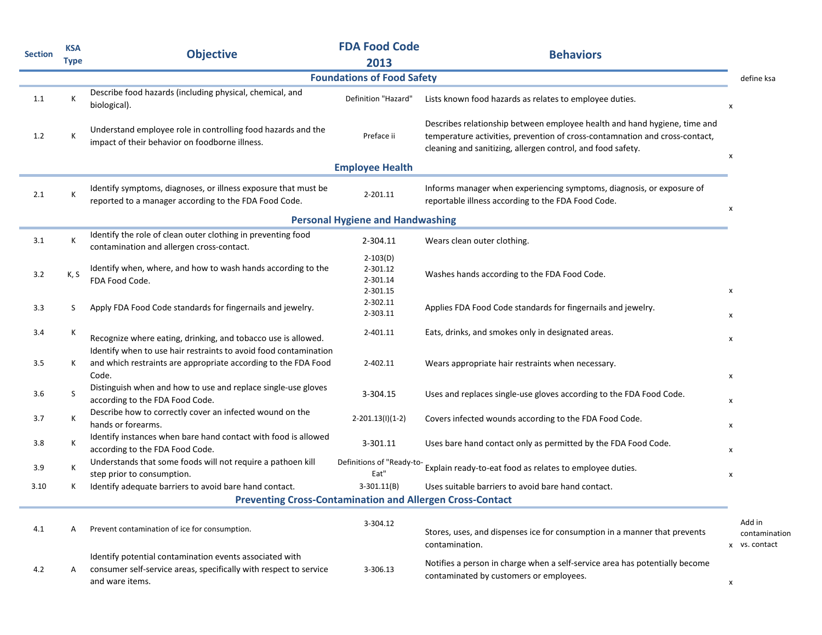| <b>Section</b> | <b>KSA</b><br><b>Type</b> | <b>Objective</b>                                                                                                                                | <b>FDA Food Code</b><br>2013                   | <b>Behaviors</b>                                                                                                                                                                                                        |                                          |
|----------------|---------------------------|-------------------------------------------------------------------------------------------------------------------------------------------------|------------------------------------------------|-------------------------------------------------------------------------------------------------------------------------------------------------------------------------------------------------------------------------|------------------------------------------|
|                |                           |                                                                                                                                                 | <b>Foundations of Food Safety</b>              |                                                                                                                                                                                                                         | define ksa                               |
| 1.1            | К                         | Describe food hazards (including physical, chemical, and<br>biological).                                                                        | Definition "Hazard"                            | Lists known food hazards as relates to employee duties.                                                                                                                                                                 | x                                        |
| 1.2            | К                         | Understand employee role in controlling food hazards and the<br>impact of their behavior on foodborne illness.                                  | Preface ii                                     | Describes relationship between employee health and hand hygiene, time and<br>temperature activities, prevention of cross-contamnation and cross-contact,<br>cleaning and sanitizing, allergen control, and food safety. | X                                        |
|                |                           |                                                                                                                                                 | <b>Employee Health</b>                         |                                                                                                                                                                                                                         |                                          |
| 2.1            | К                         | Identify symptoms, diagnoses, or illness exposure that must be<br>reported to a manager according to the FDA Food Code.                         | 2-201.11                                       | Informs manager when experiencing symptoms, diagnosis, or exposure of<br>reportable illness according to the FDA Food Code.                                                                                             | x                                        |
|                |                           |                                                                                                                                                 | <b>Personal Hygiene and Handwashing</b>        |                                                                                                                                                                                                                         |                                          |
| 3.1            | К                         | Identify the role of clean outer clothing in preventing food<br>contamination and allergen cross-contact.                                       | 2-304.11                                       | Wears clean outer clothing.                                                                                                                                                                                             |                                          |
| 3.2            | K, S                      | Identify when, where, and how to wash hands according to the<br>FDA Food Code.                                                                  | $2-103(D)$<br>2-301.12<br>2-301.14<br>2-301.15 | Washes hands according to the FDA Food Code.                                                                                                                                                                            | $\mathsf{x}$                             |
| 3.3            | S                         | Apply FDA Food Code standards for fingernails and jewelry.                                                                                      | 2-302.11<br>2-303.11                           | Applies FDA Food Code standards for fingernails and jewelry.                                                                                                                                                            | x                                        |
| 3.4            | к                         | Recognize where eating, drinking, and tobacco use is allowed.<br>Identify when to use hair restraints to avoid food contamination               | 2-401.11                                       | Eats, drinks, and smokes only in designated areas.                                                                                                                                                                      | X                                        |
| 3.5            | к                         | and which restraints are appropriate according to the FDA Food<br>Code.                                                                         | 2-402.11                                       | Wears appropriate hair restraints when necessary.                                                                                                                                                                       | x                                        |
| 3.6            | S                         | Distinguish when and how to use and replace single-use gloves<br>according to the FDA Food Code.                                                | 3-304.15                                       | Uses and replaces single-use gloves according to the FDA Food Code.                                                                                                                                                     | x                                        |
| 3.7            | К                         | Describe how to correctly cover an infected wound on the<br>hands or forearms.                                                                  | $2-201.13(1)(1-2)$                             | Covers infected wounds according to the FDA Food Code.                                                                                                                                                                  | x                                        |
| 3.8            | К                         | Identify instances when bare hand contact with food is allowed<br>according to the FDA Food Code.                                               | 3-301.11                                       | Uses bare hand contact only as permitted by the FDA Food Code.                                                                                                                                                          | x                                        |
| 3.9            | К                         | Understands that some foods will not require a pathoen kill<br>step prior to consumption.                                                       | Definitions of "Ready-to-<br>Eat"              | Explain ready-to-eat food as relates to employee duties.                                                                                                                                                                | $\mathsf{x}$                             |
| 3.10           | к                         | Identify adequate barriers to avoid bare hand contact.                                                                                          | $3-301.11(B)$                                  | Uses suitable barriers to avoid bare hand contact.                                                                                                                                                                      |                                          |
|                |                           | <b>Preventing Cross-Contamination and Allergen Cross-Contact</b>                                                                                |                                                |                                                                                                                                                                                                                         |                                          |
| 4.1            | A                         | Prevent contamination of ice for consumption.                                                                                                   | 3-304.12                                       | Stores, uses, and dispenses ice for consumption in a manner that prevents<br>contamination.                                                                                                                             | Add in<br>contamination<br>x vs. contact |
| 4.2            | A                         | Identify potential contamination events associated with<br>consumer self-service areas, specifically with respect to service<br>and ware items. | 3-306.13                                       | Notifies a person in charge when a self-service area has potentially become<br>contaminated by customers or employees.                                                                                                  | $\pmb{\mathsf{x}}$                       |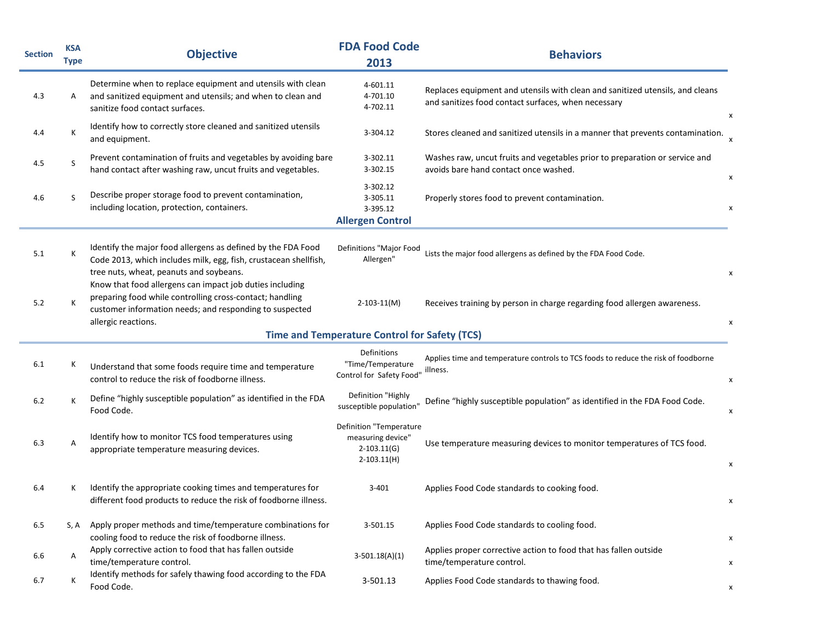| <b>Section</b> | <b>KSA</b><br><b>Type</b> | <b>Objective</b>                                                                                                                                                                                       | <b>FDA Food Code</b><br>2013                                                     | <b>Behaviors</b>                                                                                                                     |
|----------------|---------------------------|--------------------------------------------------------------------------------------------------------------------------------------------------------------------------------------------------------|----------------------------------------------------------------------------------|--------------------------------------------------------------------------------------------------------------------------------------|
| 4.3            | Α                         | Determine when to replace equipment and utensils with clean<br>and sanitized equipment and utensils; and when to clean and<br>sanitize food contact surfaces.                                          | 4-601.11<br>4-701.10<br>4-702.11                                                 | Replaces equipment and utensils with clean and sanitized utensils, and cleans<br>and sanitizes food contact surfaces, when necessary |
| 4.4            | Κ                         | Identify how to correctly store cleaned and sanitized utensils<br>and equipment.                                                                                                                       | 3-304.12                                                                         | Stores cleaned and sanitized utensils in a manner that prevents contamination.                                                       |
| 4.5            | S                         | Prevent contamination of fruits and vegetables by avoiding bare<br>hand contact after washing raw, uncut fruits and vegetables.                                                                        | 3-302.11<br>3-302.15                                                             | Washes raw, uncut fruits and vegetables prior to preparation or service and<br>avoids bare hand contact once washed.                 |
| 4.6            | S                         | Describe proper storage food to prevent contamination,<br>including location, protection, containers.                                                                                                  | 3-302.12<br>3-305.11<br>3-395.12<br><b>Allergen Control</b>                      | Properly stores food to prevent contamination.                                                                                       |
| 5.1            | К                         | Identify the major food allergens as defined by the FDA Food<br>Code 2013, which includes milk, egg, fish, crustacean shellfish,<br>tree nuts, wheat, peanuts and soybeans.                            | Definitions "Major Food<br>Allergen"                                             | Lists the major food allergens as defined by the FDA Food Code.                                                                      |
| 5.2            | Κ                         | Know that food allergens can impact job duties including<br>preparing food while controlling cross-contact; handling<br>customer information needs; and responding to suspected<br>allergic reactions. | $2 - 103 - 11(M)$                                                                | Receives training by person in charge regarding food allergen awareness.                                                             |
|                |                           |                                                                                                                                                                                                        | <b>Time and Temperature Control for Safety (TCS)</b>                             |                                                                                                                                      |
| 6.1            | K                         | Understand that some foods require time and temperature<br>control to reduce the risk of foodborne illness.                                                                                            | Definitions<br>"Time/Temperature<br>Control for Safety Food"                     | Applies time and temperature controls to TCS foods to reduce the risk of foodborne<br>illness.                                       |
| 6.2            | K                         | Define "highly susceptible population" as identified in the FDA<br>Food Code.                                                                                                                          | Definition "Highly<br>susceptible population"                                    | Define "highly susceptible population" as identified in the FDA Food Code.                                                           |
| 6.3            | Α                         | Identify how to monitor TCS food temperatures using<br>appropriate temperature measuring devices.                                                                                                      | Definition "Temperature<br>measuring device"<br>$2-103.11(G)$<br>$2 - 103.11(H)$ | Use temperature measuring devices to monitor temperatures of TCS food.                                                               |
| 6.4            |                           | Identify the appropriate cooking times and temperatures for<br>different food products to reduce the risk of foodborne illness.                                                                        | 3-401                                                                            | Applies Food Code standards to cooking food.                                                                                         |
| 6.5            | S, A                      | Apply proper methods and time/temperature combinations for<br>cooling food to reduce the risk of foodborne illness.                                                                                    | 3-501.15                                                                         | Applies Food Code standards to cooling food.                                                                                         |
| 6.6            | A                         | Apply corrective action to food that has fallen outside<br>time/temperature control.                                                                                                                   | $3-501.18(A)(1)$                                                                 | Applies proper corrective action to food that has fallen outside<br>time/temperature control.                                        |
| 6.7            | Κ                         | Identify methods for safely thawing food according to the FDA<br>Food Code.                                                                                                                            | 3-501.13                                                                         | Applies Food Code standards to thawing food.                                                                                         |